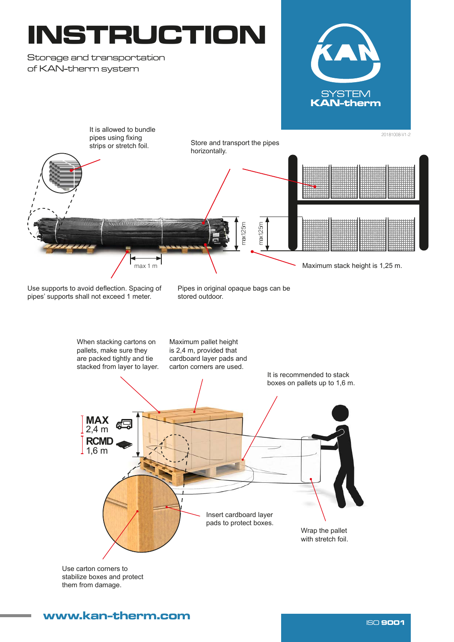## INSTRUCTION

Storage and transportation of KAN-therm system





Use supports to avoid deflection. Spacing of pipes' supports shall not exceed 1 meter.

Pipes in original opaque bags can be stored outdoor.



Use carton corners to stabilize boxes and protect them from damage.